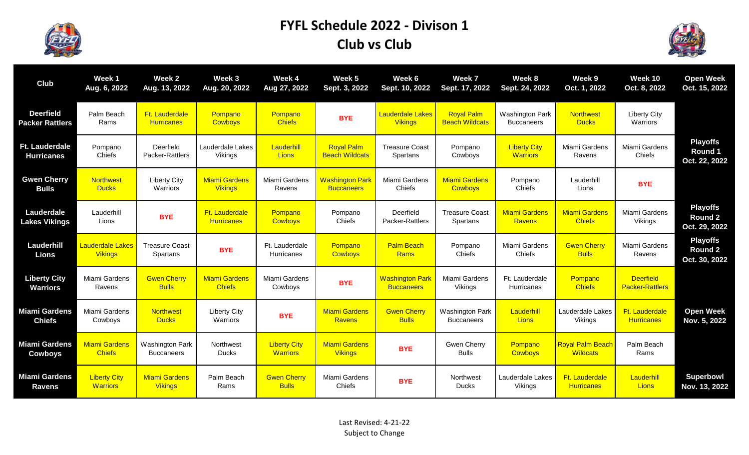

## **FYFL Schedule 2022 - Divison 1 Club vs Club**



| Club                                       | Week 1<br>Aug. 6, 2022                    | Week <sub>2</sub><br>Aug. 13, 2022          | Week 3<br>Aug. 20, 2022                | Week 4<br>Aug 27, 2022                 | Week 5<br>Sept. 3, 2022                     | Week 6<br>Sept. 10, 2022                    | Week 7<br>Sept. 17, 2022                    | Week 8<br>Sept. 24, 2022                    | Week 9<br>Oct. 1, 2022                     | Week 10<br>Oct. 8, 2022                    | <b>Open Week</b><br>Oct. 15, 2022                  |
|--------------------------------------------|-------------------------------------------|---------------------------------------------|----------------------------------------|----------------------------------------|---------------------------------------------|---------------------------------------------|---------------------------------------------|---------------------------------------------|--------------------------------------------|--------------------------------------------|----------------------------------------------------|
| <b>Deerfield</b><br><b>Packer Rattlers</b> | Palm Beach<br>Rams                        | Ft. Lauderdale<br><b>Hurricanes</b>         | Pompano<br>Cowboys                     | Pompano<br><b>Chiefs</b>               | <b>BYE</b>                                  | <b>Lauderdale Lakes</b><br><b>Vikings</b>   | <b>Royal Palm</b><br><b>Beach Wildcats</b>  | <b>Washington Park</b><br><b>Buccaneers</b> | <b>Northwest</b><br><b>Ducks</b>           | <b>Liberty City</b><br>Warriors            |                                                    |
| Ft. Lauderdale<br><b>Hurricanes</b>        | Pompano<br>Chiefs                         | Deerfield<br>Packer-Rattlers                | Lauderdale Lakes<br>Vikings            | Lauderhill<br><b>Lions</b>             | <b>Royal Palm</b><br><b>Beach Wildcats</b>  | <b>Treasure Coast</b><br>Spartans           | Pompano<br>Cowboys                          | <b>Liberty City</b><br><b>Warriors</b>      | Miami Gardens<br>Ravens                    | Miami Gardens<br>Chiefs                    | <b>Playoffs</b><br>Round 1<br>Oct. 22, 2022        |
| <b>Gwen Cherry</b><br><b>Bulls</b>         | <b>Northwest</b><br><b>Ducks</b>          | <b>Liberty City</b><br>Warriors             | <b>Miami Gardens</b><br><b>Vikings</b> | Miami Gardens<br>Ravens                | <b>Washington Park</b><br><b>Buccaneers</b> | Miami Gardens<br>Chiefs                     | <b>Miami Gardens</b><br><b>Cowboys</b>      | Pompano<br>Chiefs                           | Lauderhill<br>Lions                        | <b>BYE</b>                                 |                                                    |
| Lauderdale<br><b>Lakes Vikings</b>         | Lauderhill<br>Lions                       | <b>BYE</b>                                  | Ft. Lauderdale<br><b>Hurricanes</b>    | Pompano<br><b>Cowboys</b>              | Pompano<br>Chiefs                           | Deerfield<br>Packer-Rattlers                | <b>Treasure Coast</b><br>Spartans           | <b>Miami Gardens</b><br>Ravens              | <b>Miami Gardens</b><br><b>Chiefs</b>      | Miami Gardens<br>Vikings                   | <b>Playoffs</b><br><b>Round 2</b><br>Oct. 29, 2022 |
| Lauderhill<br><b>Lions</b>                 | <b>Lauderdale Lakes</b><br><b>Vikings</b> | <b>Treasure Coast</b><br>Spartans           | <b>BYE</b>                             | Ft. Lauderdale<br><b>Hurricanes</b>    | Pompano<br><b>Cowboys</b>                   | <b>Palm Beach</b><br>Rams                   | Pompano<br>Chiefs                           | Miami Gardens<br>Chiefs                     | <b>Gwen Cherry</b><br><b>Bulls</b>         | Miami Gardens<br>Ravens                    | <b>Playoffs</b><br><b>Round 2</b><br>Oct. 30, 2022 |
| <b>Liberty City</b><br><b>Warriors</b>     | Miami Gardens<br>Ravens                   | <b>Gwen Cherry</b><br><b>Bulls</b>          | <b>Miami Gardens</b><br><b>Chiefs</b>  | Miami Gardens<br>Cowboys               | <b>BYE</b>                                  | <b>Washington Park</b><br><b>Buccaneers</b> | Miami Gardens<br>Vikings                    | Ft. Lauderdale<br>Hurricanes                | Pompano<br><b>Chiefs</b>                   | <b>Deerfield</b><br><b>Packer-Rattlers</b> |                                                    |
| Miami Gardens<br><b>Chiefs</b>             | Miami Gardens<br>Cowboys                  | <b>Northwest</b><br><b>Ducks</b>            | <b>Liberty City</b><br>Warriors        | <b>BYE</b>                             | <b>Miami Gardens</b><br><b>Ravens</b>       | <b>Gwen Cherry</b><br><b>Bulls</b>          | <b>Washington Park</b><br><b>Buccaneers</b> | Lauderhill<br><b>Lions</b>                  | Lauderdale Lakes<br>Vikings                | Ft. Lauderdale<br><b>Hurricanes</b>        | <b>Open Week</b><br>Nov. 5, 2022                   |
| <b>Miami Gardens</b><br><b>Cowboys</b>     | <b>Miami Gardens</b><br><b>Chiefs</b>     | <b>Washington Park</b><br><b>Buccaneers</b> | Northwest<br><b>Ducks</b>              | <b>Liberty City</b><br><b>Warriors</b> | <b>Miami Gardens</b><br><b>Vikings</b>      | <b>BYE</b>                                  | Gwen Cherry<br><b>Bulls</b>                 | Pompano<br>Cowboys                          | <b>Royal Palm Beach</b><br><b>Wildcats</b> | Palm Beach<br>Rams                         |                                                    |
| <b>Miami Gardens</b><br><b>Ravens</b>      | <b>Liberty City</b><br><b>Warriors</b>    | <b>Miami Gardens</b><br><b>Vikings</b>      | Palm Beach<br>Rams                     | <b>Gwen Cherry</b><br><b>Bulls</b>     | Miami Gardens<br>Chiefs                     | <b>BYE</b>                                  | Northwest<br><b>Ducks</b>                   | Lauderdale Lakes<br>Vikings                 | Ft. Lauderdale<br><b>Hurricanes</b>        | Lauderhill<br><b>Lions</b>                 | <b>Superbowl</b><br>Nov. 13, 2022                  |